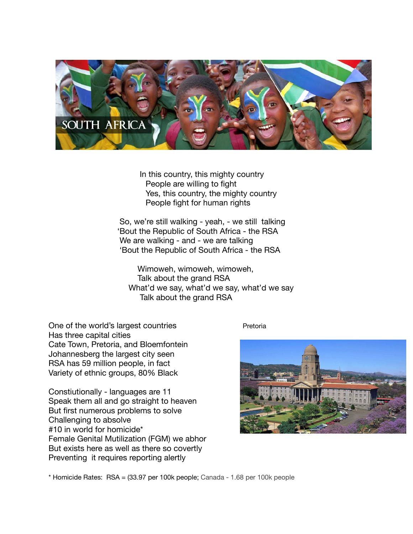

 In this country, this mighty country People are willing to fight Yes, this country, the mighty country People fight for human rights

 So, we're still walking - yeah, - we still talking 'Bout the Republic of South Africa - the RSA We are walking - and - we are talking 'Bout the Republic of South Africa - the RSA

 Wimoweh, wimoweh, wimoweh, Talk about the grand RSA What'd we say, what'd we say, what'd we say Talk about the grand RSA

One of the world's largest countries **Example 2** Pretoria Has three capital cities Cate Town, Pretoria, and Bloemfontein Johannesberg the largest city seen RSA has 59 million people, in fact Variety of ethnic groups, 80% Black

Constiutionally - languages are 11 Speak them all and go straight to heaven But first numerous problems to solve Challenging to absolve #10 in world for homicide\* Female Genital Mutilization (FGM) we abhor But exists here as well as there so covertly Preventing it requires reporting alertly



\* Homicide Rates: RSA = (33.97 per 100k people; Canada - 1.68 per 100k people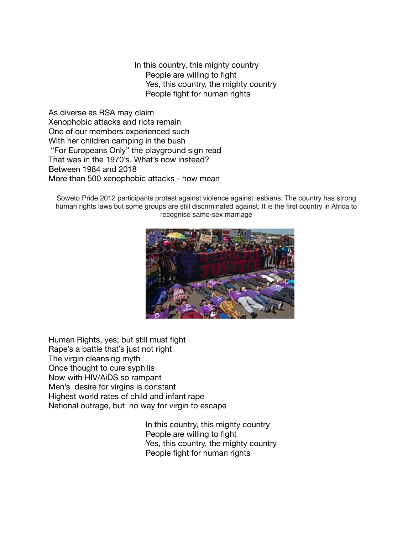In this country, this mighty country People are willing to fight Yes, this country, the mighty country People fight for human rights

As diverse as RSA may claim Xenophobic attacks and riots remain One of our members experienced such With her children camping in the bush "For Europeans Only" the playground sign read That was in the 1970's. What's now instead? Between 1984 and 2018 More than 500 xenophobic attacks - how mean

Soweto Pride 2012 participants protest against violence against lesbians. The country has strong human rights laws but some groups are still discriminated against. It is the first country in Africa to recognise same-sex marriage



Human Rights, yes; but still must fight Rape's a battle that's just not right The virgin cleansing myth Once thought to cure syphilis Now with HIV/AiDS so rampant Men's desire for virgins is constant Highest world rates of child and infant rape National outrage, but no way for virgin to escape

> In this country, this mighty country People are willing to fight Yes, this country, the mighty country People fight for human rights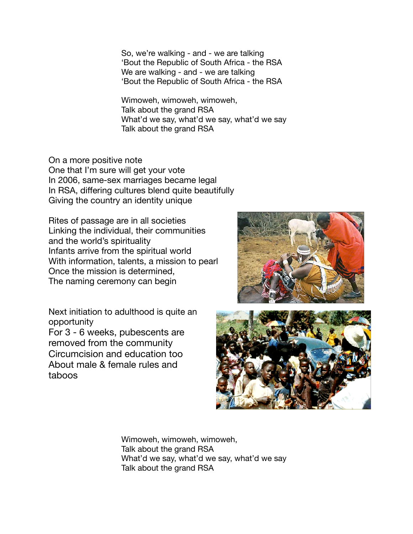So, we're walking - and - we are talking 'Bout the Republic of South Africa - the RSA We are walking - and - we are talking 'Bout the Republic of South Africa - the RSA

 Wimoweh, wimoweh, wimoweh, Talk about the grand RSA What'd we say, what'd we say, what'd we say Talk about the grand RSA

On a more positive note One that I'm sure will get your vote In 2006, same-sex marriages became legal In RSA, differing cultures blend quite beautifully Giving the country an identity unique 

Rites of passage are in all societies Linking the individual, their communities and the world's spirituality Infants arrive from the spiritual world With information, talents, a mission to pearl Once the mission is determined, The naming ceremony can begin

Next initiation to adulthood is quite an opportunity For 3 - 6 weeks, pubescents are removed from the community Circumcision and education too About male & female rules and taboos 





 Wimoweh, wimoweh, wimoweh, Talk about the grand RSA What'd we say, what'd we say, what'd we say Talk about the grand RSA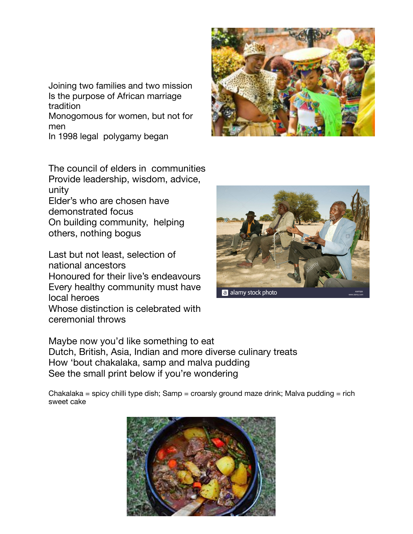Joining two families and two mission Is the purpose of African marriage tradition

Monogomous for women, but not for men

In 1998 legal polygamy began

The council of elders in communities Provide leadership, wisdom, advice, unity

Elder's who are chosen have demonstrated focus On building community, helping

others, nothing bogus

Last but not least, selection of national ancestors Honoured for their live's endeavours Every healthy community must have

local heroes Whose distinction is celebrated with

ceremonial throws

a alamy stock photo

Maybe now you'd like something to eat Dutch, British, Asia, Indian and more diverse culinary treats How 'bout chakalaka, samp and malva pudding See the small print below if you're wondering

Chakalaka = spicy chilli type dish; Samp = croarsly ground maze drink; Malva pudding = rich sweet cake